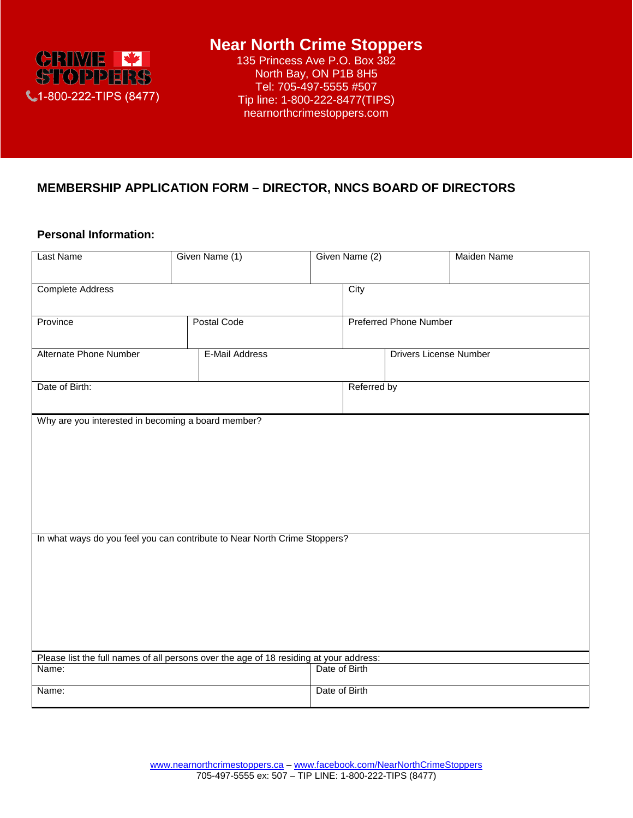

# **Near North Crime Stoppers**

135 Princess Ave P.O. Box 382 North Bay, ON P1B 8H5 Tel: 705-497-5555 #507 Tip line: 1-800-222-8477(TIPS) nearnorthcrimestoppers.com

### **MEMBERSHIP APPLICATION FORM – DIRECTOR, NNCS BOARD OF DIRECTORS**

#### **Personal Information:**

| Last Name                                                                 | Given Name (1)                                                                         |               | Maiden Name                   |  |  |  |  |  |
|---------------------------------------------------------------------------|----------------------------------------------------------------------------------------|---------------|-------------------------------|--|--|--|--|--|
| <b>Complete Address</b>                                                   |                                                                                        | City          |                               |  |  |  |  |  |
| Province                                                                  | <b>Postal Code</b>                                                                     |               | <b>Preferred Phone Number</b> |  |  |  |  |  |
| Alternate Phone Number                                                    | E-Mail Address                                                                         |               | <b>Drivers License Number</b> |  |  |  |  |  |
| Date of Birth:                                                            |                                                                                        | Referred by   |                               |  |  |  |  |  |
| Why are you interested in becoming a board member?                        |                                                                                        |               |                               |  |  |  |  |  |
|                                                                           |                                                                                        |               |                               |  |  |  |  |  |
|                                                                           |                                                                                        |               |                               |  |  |  |  |  |
|                                                                           |                                                                                        |               |                               |  |  |  |  |  |
| In what ways do you feel you can contribute to Near North Crime Stoppers? |                                                                                        |               |                               |  |  |  |  |  |
|                                                                           |                                                                                        |               |                               |  |  |  |  |  |
|                                                                           |                                                                                        |               |                               |  |  |  |  |  |
|                                                                           |                                                                                        |               |                               |  |  |  |  |  |
| Name:                                                                     | Please list the full names of all persons over the age of 18 residing at your address: | Date of Birth |                               |  |  |  |  |  |
| Name:                                                                     |                                                                                        | Date of Birth |                               |  |  |  |  |  |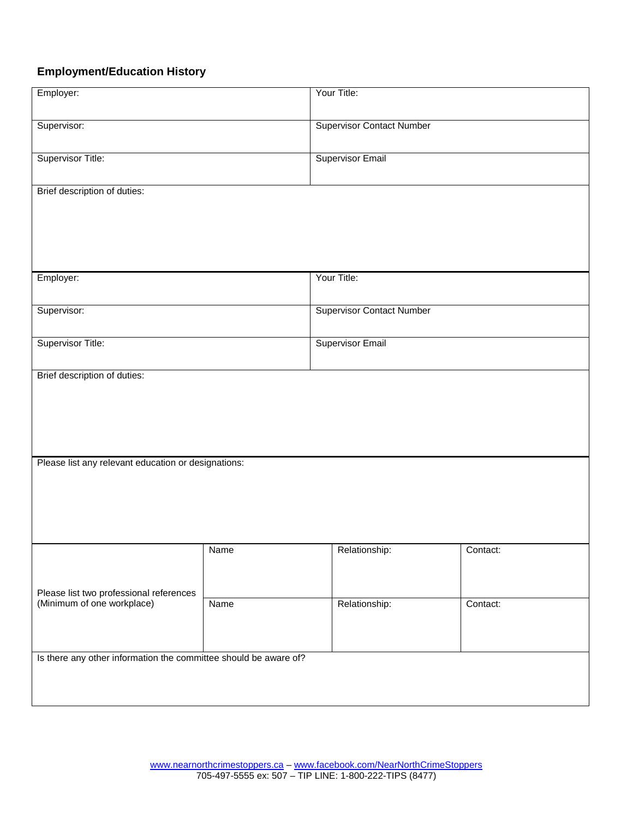## **Employment/Education History**

| Employer:                                                        |      | Your Title:                      |          |  |  |  |  |
|------------------------------------------------------------------|------|----------------------------------|----------|--|--|--|--|
| Supervisor:                                                      |      | <b>Supervisor Contact Number</b> |          |  |  |  |  |
| Supervisor Title:                                                |      | <b>Supervisor Email</b>          |          |  |  |  |  |
| Brief description of duties:                                     |      |                                  |          |  |  |  |  |
|                                                                  |      |                                  |          |  |  |  |  |
|                                                                  |      | Your Title:                      |          |  |  |  |  |
| Employer:                                                        |      |                                  |          |  |  |  |  |
| Supervisor:                                                      |      | <b>Supervisor Contact Number</b> |          |  |  |  |  |
| <b>Supervisor Title:</b>                                         |      | <b>Supervisor Email</b>          |          |  |  |  |  |
| Brief description of duties:                                     |      |                                  |          |  |  |  |  |
|                                                                  |      |                                  |          |  |  |  |  |
|                                                                  |      |                                  |          |  |  |  |  |
| Please list any relevant education or designations:              |      |                                  |          |  |  |  |  |
|                                                                  |      |                                  |          |  |  |  |  |
|                                                                  |      |                                  |          |  |  |  |  |
|                                                                  | Name | Relationship:                    | Contact: |  |  |  |  |
| Please list two professional references                          |      |                                  |          |  |  |  |  |
| (Minimum of one workplace)                                       | Name | Relationship:                    | Contact: |  |  |  |  |
|                                                                  |      |                                  |          |  |  |  |  |
| Is there any other information the committee should be aware of? |      |                                  |          |  |  |  |  |
|                                                                  |      |                                  |          |  |  |  |  |